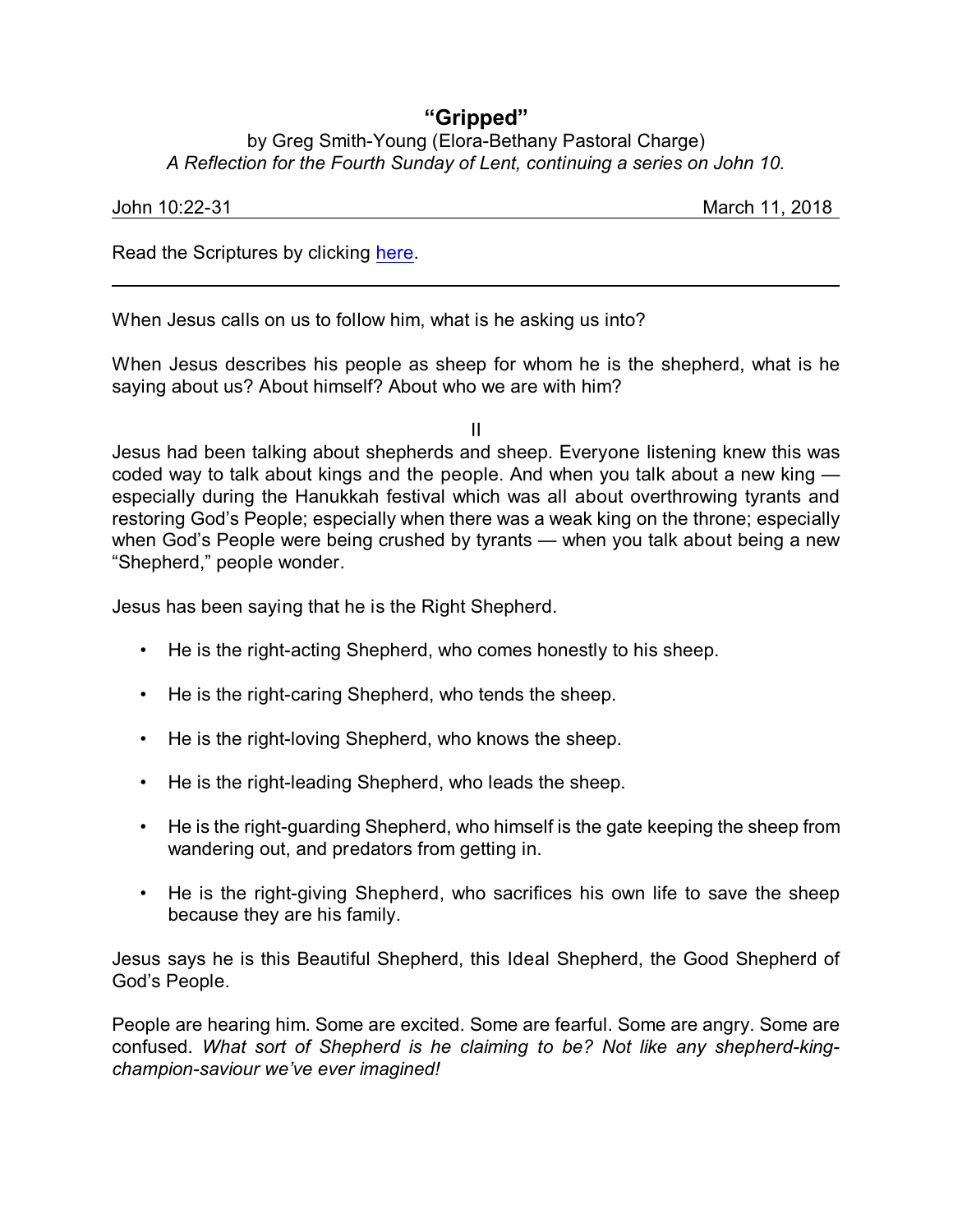## **"Gripped"**

## by Greg Smith-Young (Elora-Bethany Pastoral Charge) *A Reflection for the Fourth Sunday of Lent, continuing a series on John 10.*

John 10:22-31 March 11, 2018

Read the Scriptures by clicking [here](https://www.biblegateway.com/passage/?search=John+10%3A22-31&version=NRSVA).

When Jesus calls on us to follow him, what is he asking us into?

When Jesus describes his people as sheep for whom he is the shepherd, what is he saying about us? About himself? About who we are with him?

II

Jesus had been talking about shepherds and sheep. Everyone listening knew this was coded way to talk about kings and the people. And when you talk about a new king especially during the Hanukkah festival which was all about overthrowing tyrants and restoring God's People; especially when there was a weak king on the throne; especially when God's People were being crushed by tyrants — when you talk about being a new "Shepherd," people wonder.

Jesus has been saying that he is the Right Shepherd.

- He is the right-acting Shepherd, who comes honestly to his sheep.
- He is the right-caring Shepherd, who tends the sheep.
- He is the right-loving Shepherd, who knows the sheep.
- He is the right-leading Shepherd, who leads the sheep.
- He is the right-guarding Shepherd, who himself is the gate keeping the sheep from wandering out, and predators from getting in.
- He is the right-giving Shepherd, who sacrifices his own life to save the sheep because they are his family.

Jesus says he is this Beautiful Shepherd, this Ideal Shepherd, the Good Shepherd of God's People.

People are hearing him. Some are excited. Some are fearful. Some are angry. Some are confused. *What sort of Shepherd is he claiming to be? Not like any shepherd-kingchampion-saviour we've ever imagined!*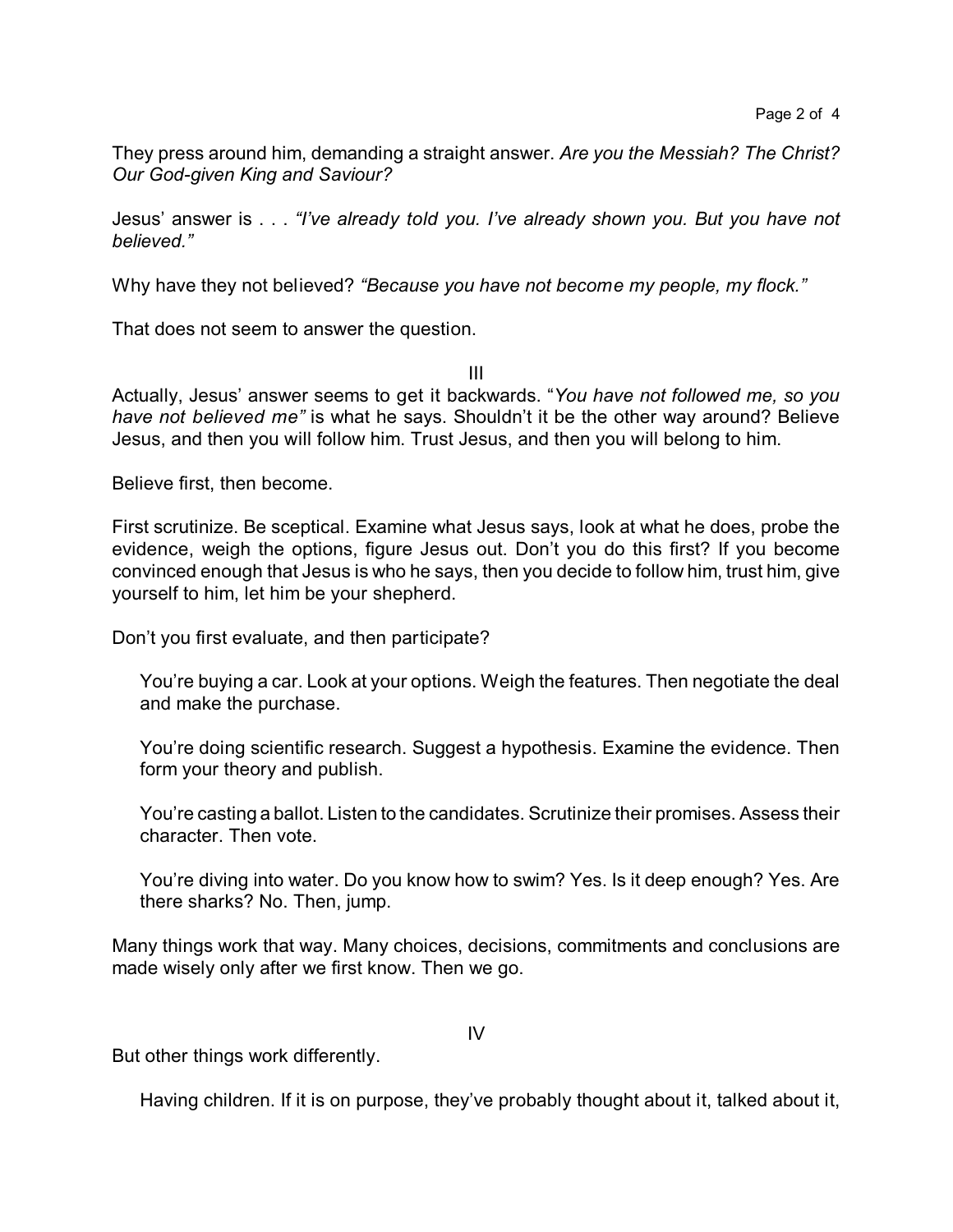They press around him, demanding a straight answer. *Are you the Messiah? The Christ? Our God-given King and Saviour?*

Jesus' answer is . . . *"I've already told you. I've already shown you. But you have not believed."*

Why have they not believed? *"Because you have not become my people, my flock."*

That does not seem to answer the question.

III

Actually, Jesus' answer seems to get it backwards. "*You have not followed me, so you have not believed me"* is what he says. Shouldn't it be the other way around? Believe Jesus, and then you will follow him. Trust Jesus, and then you will belong to him.

Believe first, then become.

First scrutinize. Be sceptical. Examine what Jesus says, look at what he does, probe the evidence, weigh the options, figure Jesus out. Don't you do this first? If you become convinced enough that Jesus is who he says, then you decide to follow him, trust him, give yourself to him, let him be your shepherd.

Don't you first evaluate, and then participate?

You're buying a car. Look at your options. Weigh the features. Then negotiate the deal and make the purchase.

You're doing scientific research. Suggest a hypothesis. Examine the evidence. Then form your theory and publish.

You're casting a ballot. Listen to the candidates. Scrutinize their promises. Assess their character. Then vote.

You're diving into water. Do you know how to swim? Yes. Is it deep enough? Yes. Are there sharks? No. Then, jump.

Many things work that way. Many choices, decisions, commitments and conclusions are made wisely only after we first know. Then we go.

IV

But other things work differently.

Having children. If it is on purpose, they've probably thought about it, talked about it,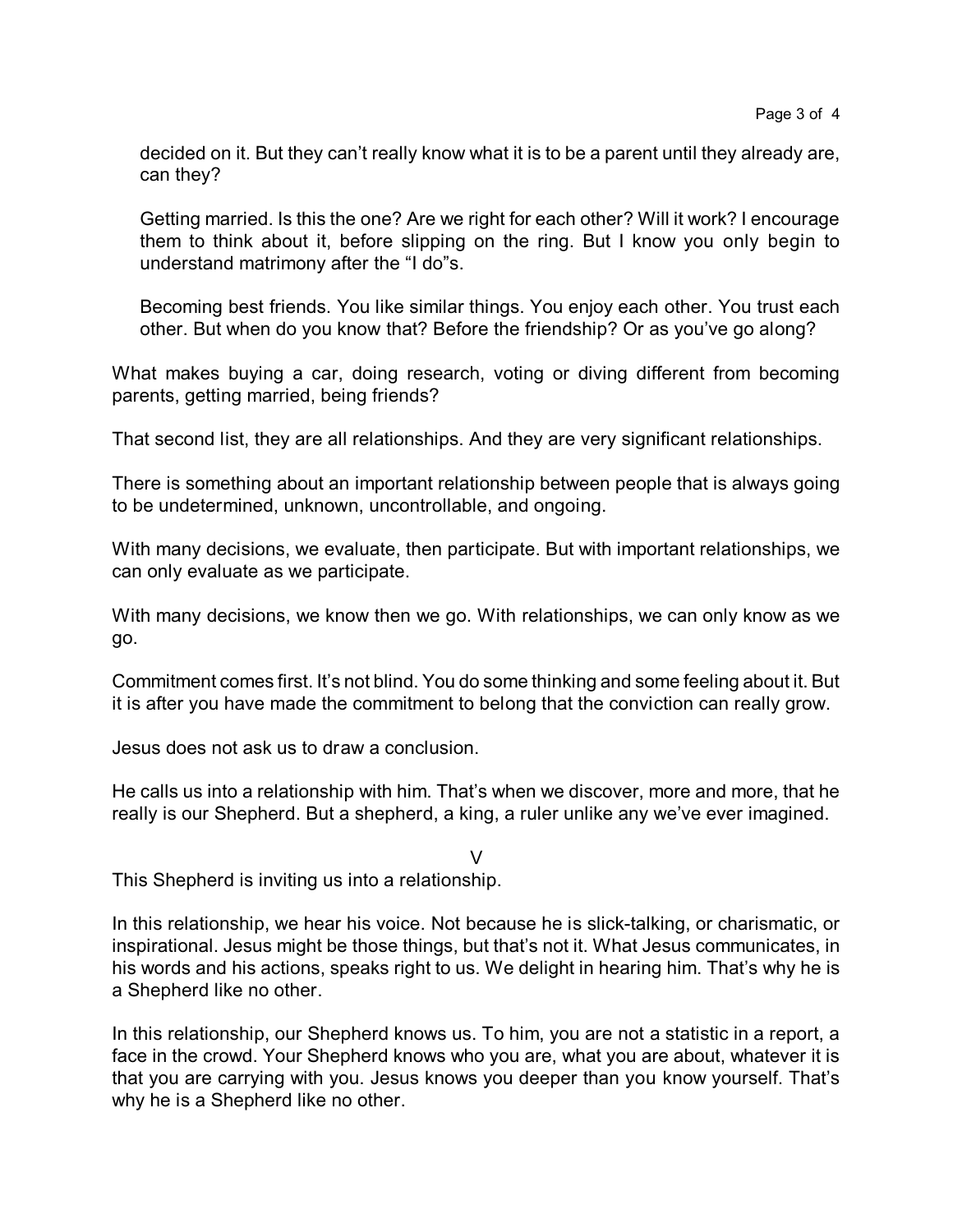decided on it. But they can't really know what it is to be a parent until they already are, can they?

Getting married. Is this the one? Are we right for each other? Will it work? I encourage them to think about it, before slipping on the ring. But I know you only begin to understand matrimony after the "I do"s.

Becoming best friends. You like similar things. You enjoy each other. You trust each other. But when do you know that? Before the friendship? Or as you've go along?

What makes buying a car, doing research, voting or diving different from becoming parents, getting married, being friends?

That second list, they are all relationships. And they are very significant relationships.

There is something about an important relationship between people that is always going to be undetermined, unknown, uncontrollable, and ongoing.

With many decisions, we evaluate, then participate. But with important relationships, we can only evaluate as we participate.

With many decisions, we know then we go. With relationships, we can only know as we go.

Commitment comes first. It's not blind. You do some thinking and some feeling about it. But it is after you have made the commitment to belong that the conviction can really grow.

Jesus does not ask us to draw a conclusion.

He calls us into a relationship with him. That's when we discover, more and more, that he really is our Shepherd. But a shepherd, a king, a ruler unlike any we've ever imagined.

## $\vee$

This Shepherd is inviting us into a relationship.

In this relationship, we hear his voice. Not because he is slick-talking, or charismatic, or inspirational. Jesus might be those things, but that's not it. What Jesus communicates, in his words and his actions, speaks right to us. We delight in hearing him. That's why he is a Shepherd like no other.

In this relationship, our Shepherd knows us. To him, you are not a statistic in a report, a face in the crowd. Your Shepherd knows who you are, what you are about, whatever it is that you are carrying with you. Jesus knows you deeper than you know yourself. That's why he is a Shepherd like no other.